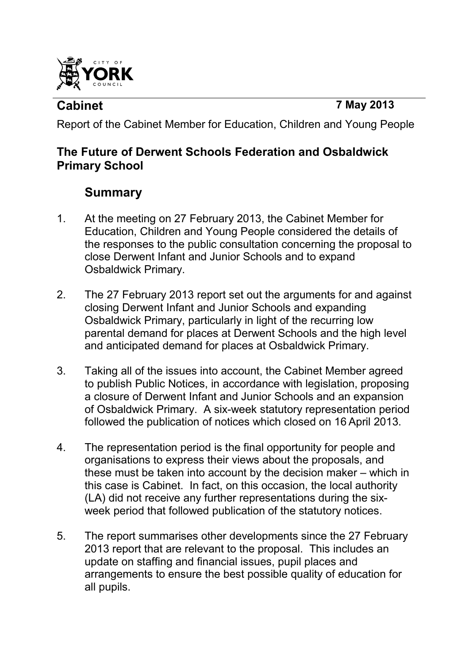

**Cabinet 7 May 2013** 

Report of the Cabinet Member for Education, Children and Young People

## **The Future of Derwent Schools Federation and Osbaldwick Primary School**

# **Summary**

- 1. At the meeting on 27 February 2013, the Cabinet Member for Education, Children and Young People considered the details of the responses to the public consultation concerning the proposal to close Derwent Infant and Junior Schools and to expand Osbaldwick Primary.
- 2. The 27 February 2013 report set out the arguments for and against closing Derwent Infant and Junior Schools and expanding Osbaldwick Primary, particularly in light of the recurring low parental demand for places at Derwent Schools and the high level and anticipated demand for places at Osbaldwick Primary.
- 3. Taking all of the issues into account, the Cabinet Member agreed to publish Public Notices, in accordance with legislation, proposing a closure of Derwent Infant and Junior Schools and an expansion of Osbaldwick Primary. A six-week statutory representation period followed the publication of notices which closed on 16 April 2013.
- 4. The representation period is the final opportunity for people and organisations to express their views about the proposals, and these must be taken into account by the decision maker – which in this case is Cabinet. In fact, on this occasion, the local authority (LA) did not receive any further representations during the sixweek period that followed publication of the statutory notices.
- 5. The report summarises other developments since the 27 February 2013 report that are relevant to the proposal. This includes an update on staffing and financial issues, pupil places and arrangements to ensure the best possible quality of education for all pupils.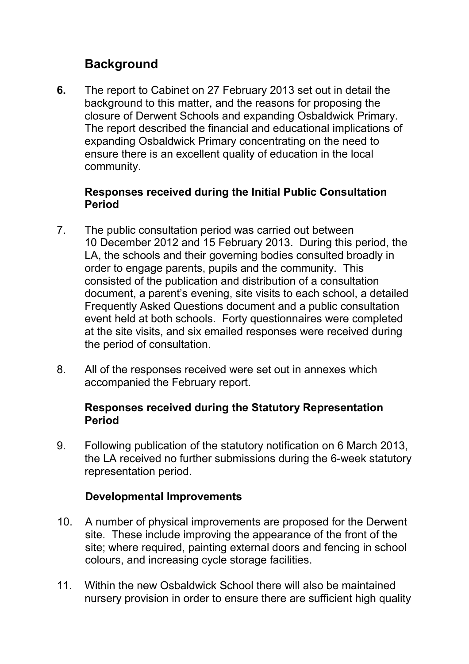# **Background**

**6.** The report to Cabinet on 27 February 2013 set out in detail the background to this matter, and the reasons for proposing the closure of Derwent Schools and expanding Osbaldwick Primary. The report described the financial and educational implications of expanding Osbaldwick Primary concentrating on the need to ensure there is an excellent quality of education in the local community.

#### **Responses received during the Initial Public Consultation Period**

- 7. The public consultation period was carried out between 10 December 2012 and 15 February 2013. During this period, the LA, the schools and their governing bodies consulted broadly in order to engage parents, pupils and the community. This consisted of the publication and distribution of a consultation document, a parent's evening, site visits to each school, a detailed Frequently Asked Questions document and a public consultation event held at both schools. Forty questionnaires were completed at the site visits, and six emailed responses were received during the period of consultation.
- 8. All of the responses received were set out in annexes which accompanied the February report.

#### **Responses received during the Statutory Representation Period**

9. Following publication of the statutory notification on 6 March 2013, the LA received no further submissions during the 6-week statutory representation period.

#### **Developmental Improvements**

- 10. A number of physical improvements are proposed for the Derwent site. These include improving the appearance of the front of the site; where required, painting external doors and fencing in school colours, and increasing cycle storage facilities.
- 11. Within the new Osbaldwick School there will also be maintained nursery provision in order to ensure there are sufficient high quality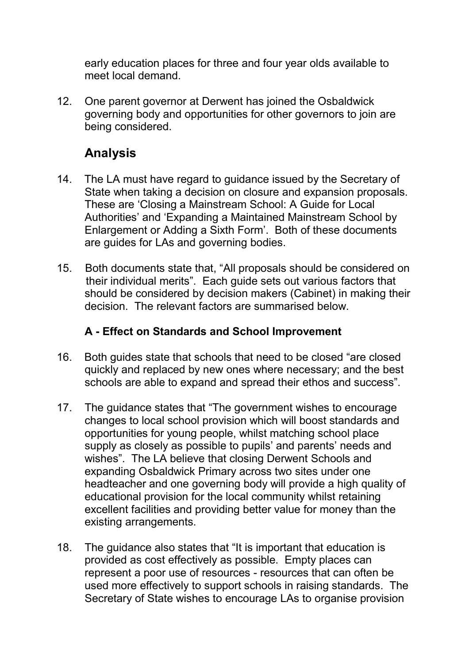early education places for three and four year olds available to meet local demand.

12. One parent governor at Derwent has joined the Osbaldwick governing body and opportunities for other governors to join are being considered.

# **Analysis**

- 14. The LA must have regard to guidance issued by the Secretary of State when taking a decision on closure and expansion proposals. These are 'Closing a Mainstream School: A Guide for Local Authorities' and 'Expanding a Maintained Mainstream School by Enlargement or Adding a Sixth Form'. Both of these documents are guides for LAs and governing bodies.
- 15. Both documents state that, "All proposals should be considered on their individual merits". Each guide sets out various factors that should be considered by decision makers (Cabinet) in making their decision. The relevant factors are summarised below.

## **A - Effect on Standards and School Improvement**

- 16. Both guides state that schools that need to be closed "are closed quickly and replaced by new ones where necessary; and the best schools are able to expand and spread their ethos and success".
- 17. The guidance states that "The government wishes to encourage changes to local school provision which will boost standards and opportunities for young people, whilst matching school place supply as closely as possible to pupils' and parents' needs and wishes". The LA believe that closing Derwent Schools and expanding Osbaldwick Primary across two sites under one headteacher and one governing body will provide a high quality of educational provision for the local community whilst retaining excellent facilities and providing better value for money than the existing arrangements.
- 18. The guidance also states that "It is important that education is provided as cost effectively as possible. Empty places can represent a poor use of resources - resources that can often be used more effectively to support schools in raising standards. The Secretary of State wishes to encourage LAs to organise provision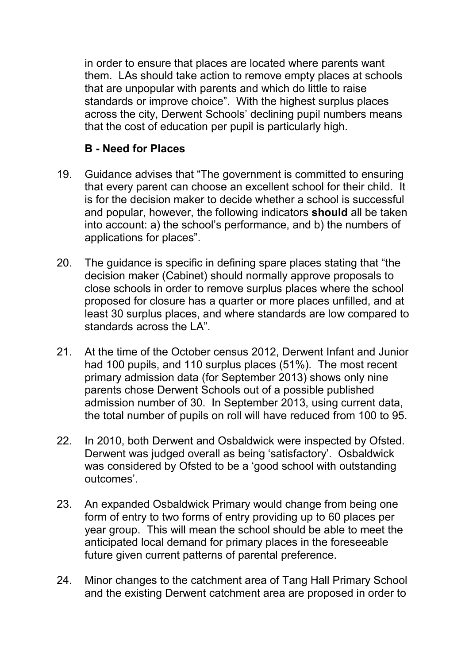in order to ensure that places are located where parents want them. LAs should take action to remove empty places at schools that are unpopular with parents and which do little to raise standards or improve choice". With the highest surplus places across the city, Derwent Schools' declining pupil numbers means that the cost of education per pupil is particularly high.

### **B - Need for Places**

- 19. Guidance advises that "The government is committed to ensuring that every parent can choose an excellent school for their child. It is for the decision maker to decide whether a school is successful and popular, however, the following indicators **should** all be taken into account: a) the school's performance, and b) the numbers of applications for places".
- 20. The guidance is specific in defining spare places stating that "the decision maker (Cabinet) should normally approve proposals to close schools in order to remove surplus places where the school proposed for closure has a quarter or more places unfilled, and at least 30 surplus places, and where standards are low compared to standards across the LA".
- 21. At the time of the October census 2012, Derwent Infant and Junior had 100 pupils, and 110 surplus places (51%). The most recent primary admission data (for September 2013) shows only nine parents chose Derwent Schools out of a possible published admission number of 30. In September 2013, using current data, the total number of pupils on roll will have reduced from 100 to 95.
- 22. In 2010, both Derwent and Osbaldwick were inspected by Ofsted. Derwent was judged overall as being 'satisfactory'. Osbaldwick was considered by Ofsted to be a 'good school with outstanding outcomes'.
- 23. An expanded Osbaldwick Primary would change from being one form of entry to two forms of entry providing up to 60 places per year group. This will mean the school should be able to meet the anticipated local demand for primary places in the foreseeable future given current patterns of parental preference.
- 24. Minor changes to the catchment area of Tang Hall Primary School and the existing Derwent catchment area are proposed in order to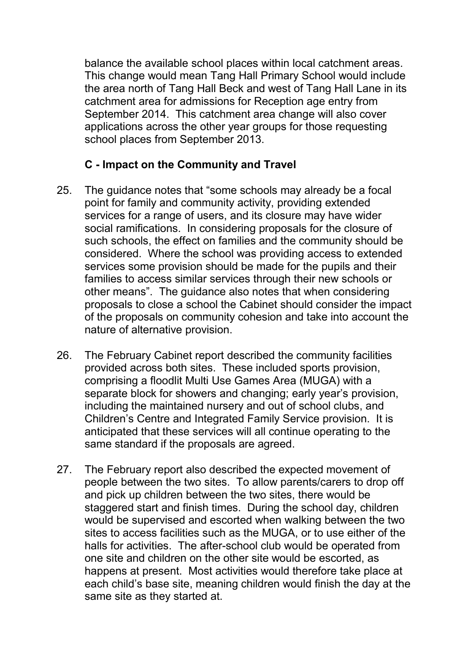balance the available school places within local catchment areas. This change would mean Tang Hall Primary School would include the area north of Tang Hall Beck and west of Tang Hall Lane in its catchment area for admissions for Reception age entry from September 2014. This catchment area change will also cover applications across the other year groups for those requesting school places from September 2013.

### **C - Impact on the Community and Travel**

- 25. The guidance notes that "some schools may already be a focal point for family and community activity, providing extended services for a range of users, and its closure may have wider social ramifications. In considering proposals for the closure of such schools, the effect on families and the community should be considered. Where the school was providing access to extended services some provision should be made for the pupils and their families to access similar services through their new schools or other means". The guidance also notes that when considering proposals to close a school the Cabinet should consider the impact of the proposals on community cohesion and take into account the nature of alternative provision.
- 26. The February Cabinet report described the community facilities provided across both sites. These included sports provision, comprising a floodlit Multi Use Games Area (MUGA) with a separate block for showers and changing; early year's provision, including the maintained nursery and out of school clubs, and Children's Centre and Integrated Family Service provision. It is anticipated that these services will all continue operating to the same standard if the proposals are agreed.
- 27. The February report also described the expected movement of people between the two sites. To allow parents/carers to drop off and pick up children between the two sites, there would be staggered start and finish times. During the school day, children would be supervised and escorted when walking between the two sites to access facilities such as the MUGA, or to use either of the halls for activities. The after-school club would be operated from one site and children on the other site would be escorted, as happens at present. Most activities would therefore take place at each child's base site, meaning children would finish the day at the same site as they started at.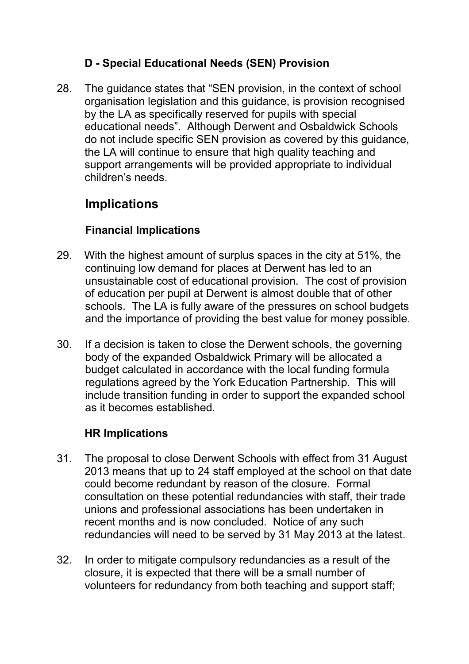## **D - Special Educational Needs (SEN) Provision**

28. The guidance states that "SEN provision, in the context of school organisation legislation and this guidance, is provision recognised by the LA as specifically reserved for pupils with special educational needs". Although Derwent and Osbaldwick Schools do not include specific SEN provision as covered by this guidance, the LA will continue to ensure that high quality teaching and support arrangements will be provided appropriate to individual children's needs.

# **Implications**

### **Financial Implications**

- 29. With the highest amount of surplus spaces in the city at 51%, the continuing low demand for places at Derwent has led to an unsustainable cost of educational provision. The cost of provision of education per pupil at Derwent is almost double that of other schools. The LA is fully aware of the pressures on school budgets and the importance of providing the best value for money possible.
- 30. If a decision is taken to close the Derwent schools, the governing body of the expanded Osbaldwick Primary will be allocated a budget calculated in accordance with the local funding formula regulations agreed by the York Education Partnership. This will include transition funding in order to support the expanded school as it becomes established.

### **HR Implications**

- 31. The proposal to close Derwent Schools with effect from 31 August 2013 means that up to 24 staff employed at the school on that date could become redundant by reason of the closure. Formal consultation on these potential redundancies with staff, their trade unions and professional associations has been undertaken in recent months and is now concluded. Notice of any such redundancies will need to be served by 31 May 2013 at the latest.
- 32. In order to mitigate compulsory redundancies as a result of the closure, it is expected that there will be a small number of volunteers for redundancy from both teaching and support staff;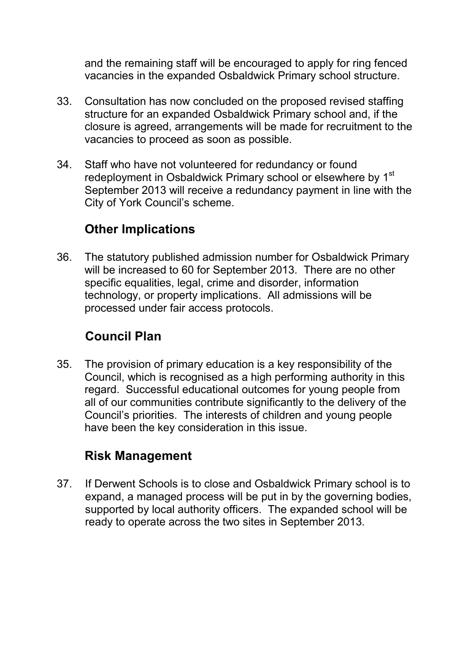and the remaining staff will be encouraged to apply for ring fenced vacancies in the expanded Osbaldwick Primary school structure.

- 33. Consultation has now concluded on the proposed revised staffing structure for an expanded Osbaldwick Primary school and, if the closure is agreed, arrangements will be made for recruitment to the vacancies to proceed as soon as possible.
- 34. Staff who have not volunteered for redundancy or found redeployment in Osbaldwick Primary school or elsewhere by 1<sup>st</sup> September 2013 will receive a redundancy payment in line with the City of York Council's scheme.

# **Other Implications**

36. The statutory published admission number for Osbaldwick Primary will be increased to 60 for September 2013. There are no other specific equalities, legal, crime and disorder, information technology, or property implications. All admissions will be processed under fair access protocols.

# **Council Plan**

35. The provision of primary education is a key responsibility of the Council, which is recognised as a high performing authority in this regard. Successful educational outcomes for young people from all of our communities contribute significantly to the delivery of the Council's priorities. The interests of children and young people have been the key consideration in this issue.

## **Risk Management**

37. If Derwent Schools is to close and Osbaldwick Primary school is to expand, a managed process will be put in by the governing bodies, supported by local authority officers. The expanded school will be ready to operate across the two sites in September 2013.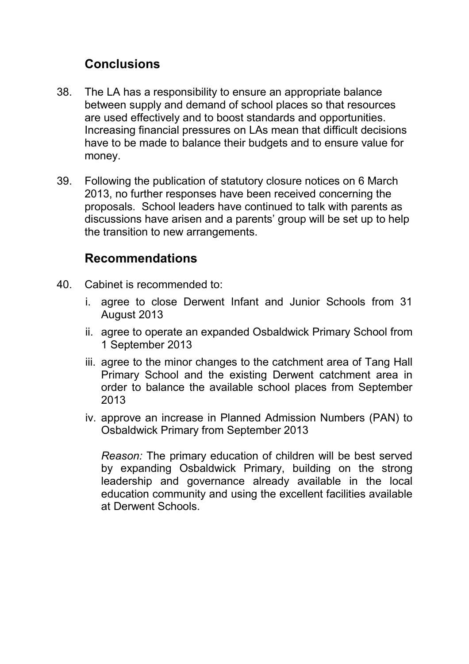## **Conclusions**

- 38. The LA has a responsibility to ensure an appropriate balance between supply and demand of school places so that resources are used effectively and to boost standards and opportunities. Increasing financial pressures on LAs mean that difficult decisions have to be made to balance their budgets and to ensure value for money.
- 39. Following the publication of statutory closure notices on 6 March 2013, no further responses have been received concerning the proposals. School leaders have continued to talk with parents as discussions have arisen and a parents' group will be set up to help the transition to new arrangements.

## **Recommendations**

- 40. Cabinet is recommended to:
	- i. agree to close Derwent Infant and Junior Schools from 31 August 2013
	- ii. agree to operate an expanded Osbaldwick Primary School from 1 September 2013
	- iii. agree to the minor changes to the catchment area of Tang Hall Primary School and the existing Derwent catchment area in order to balance the available school places from September 2013
	- iv. approve an increase in Planned Admission Numbers (PAN) to Osbaldwick Primary from September 2013

*Reason:* The primary education of children will be best served by expanding Osbaldwick Primary, building on the strong leadership and governance already available in the local education community and using the excellent facilities available at Derwent Schools.